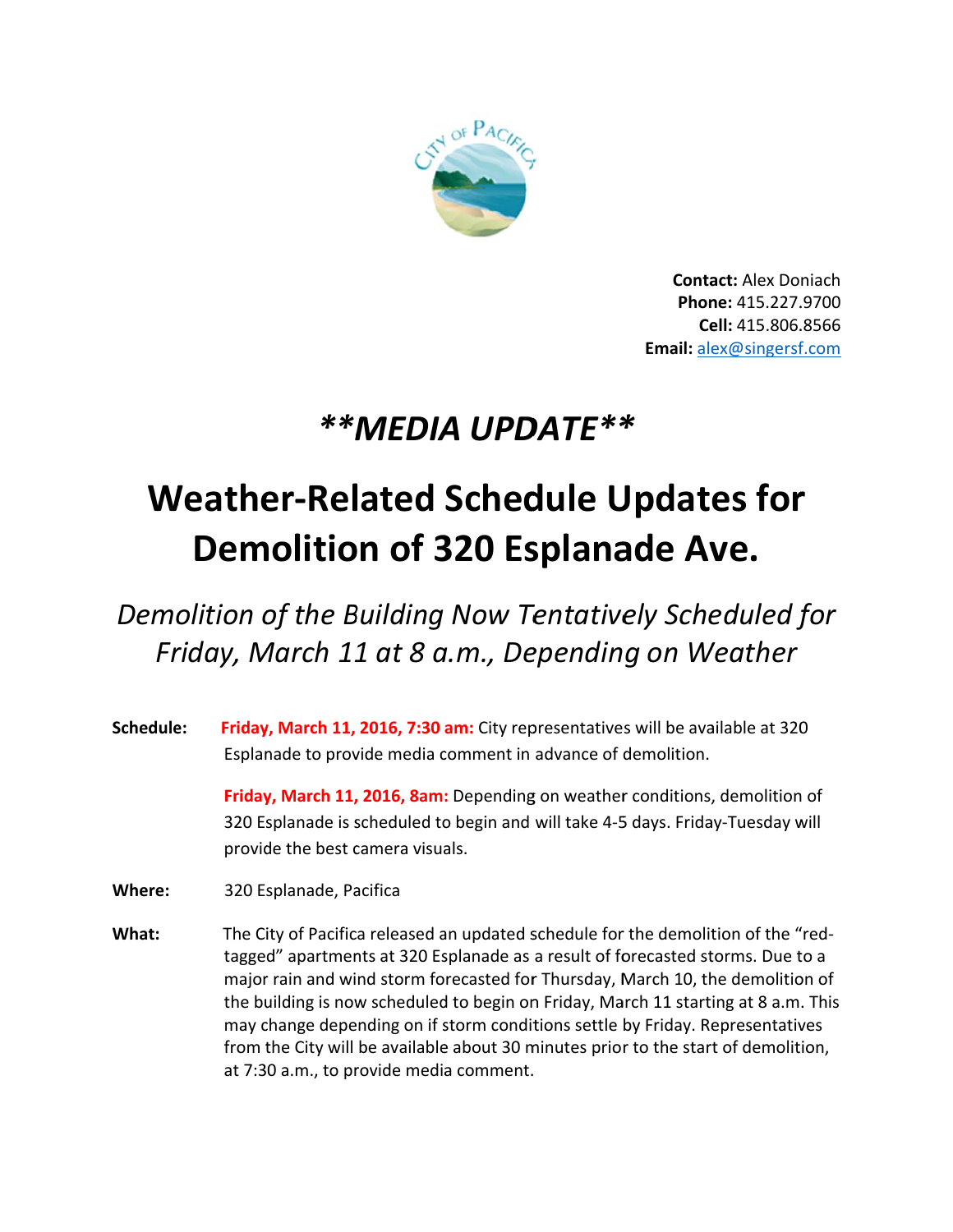

**Contact: Alex Doniach** Phone: 415.227.9700 Cell: 415.806.8566 **Email:** alex@singersf.com

## \*\*MEDIA UPDATE\*\*

## **Weather-Related Schedule Updates for Demolition of 320 Esplanade Ave.**

## Demolition of the Building Now Tentatively Scheduled for Friday, March 11 at 8 a.m., Depending on Weather

Schedule: Friday, March 11, 2016, 7:30 am: City representatives will be available at 320 Esplanade to provide media comment in advance of demolition.

> Friday, March 11, 2016, 8am: Depending on weather conditions, demolition of 320 Esplanade is scheduled to begin and will take 4-5 days. Friday-Tuesday will provide the best camera visuals.

Where: 320 Esplanade, Pacifica

What: The City of Pacifica released an updated schedule for the demolition of the "redtagged" apartments at 320 Esplanade as a result of forecasted storms. Due to a major rain and wind storm forecasted for Thursday, March 10, the demolition of the building is now scheduled to begin on Friday, March 11 starting at 8 a.m. This may change depending on if storm conditions settle by Friday. Representatives from the City will be available about 30 minutes prior to the start of demolition, at 7:30 a.m., to provide media comment.